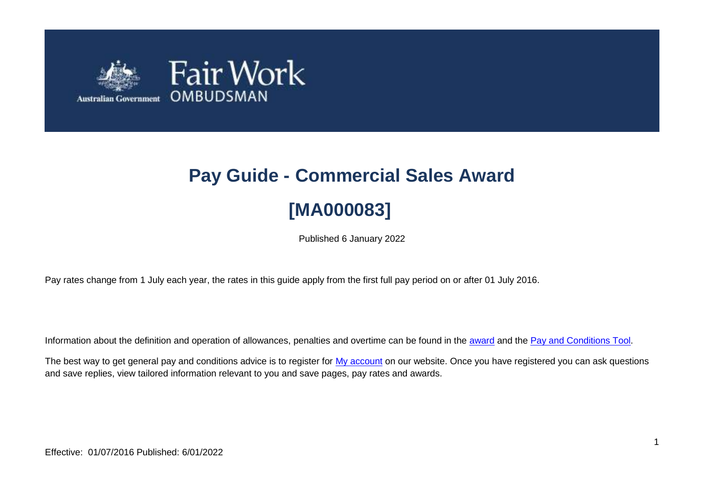

# **Pay Guide - Commercial Sales Award [MA000083]**

Published 6 January 2022

Pay rates change from 1 July each year, the rates in this guide apply from the first full pay period on or after 01 July 2016.

Information about the definition and operation of allowances, penalties and overtime can be found in the [award](https://www.fairwork.gov.au/awards-and-agreements/awards/list-of-awards) and the [Pay and Conditions Tool.](https://calculate.fairwork.gov.au/)

The best way to get general pay and conditions advice is to register for [My account](https://www.fairwork.gov.au/my-account/registerpage.aspx) on our website. Once you have registered you can ask questions and save replies, view tailored information relevant to you and save pages, pay rates and awards.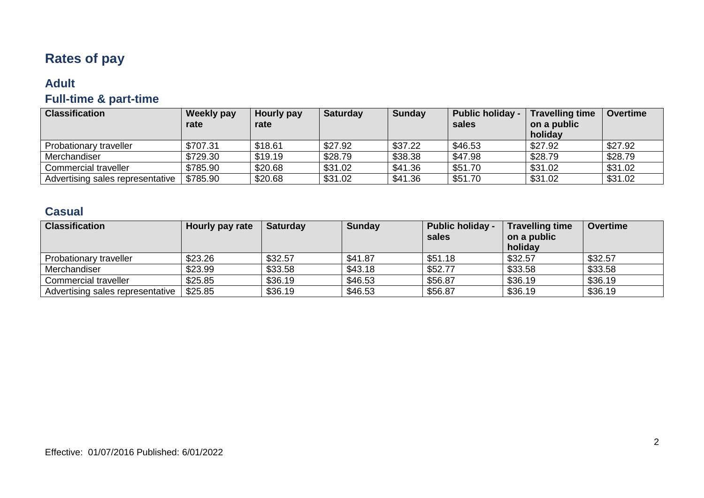# **Rates of pay**

### **Adult**

## **Full-time & part-time**

| <b>Classification</b>            | <b>Weekly pay</b> | Hourly pay | <b>Saturday</b> | <b>Sunday</b> | <b>Public holiday -</b> | <b>Travelling time</b> | <b>Overtime</b> |
|----------------------------------|-------------------|------------|-----------------|---------------|-------------------------|------------------------|-----------------|
|                                  | rate              | rate       |                 |               | sales                   | on a public            |                 |
|                                  |                   |            |                 |               |                         | holiday                |                 |
| <b>Probationary traveller</b>    | \$707.31          | \$18.61    | \$27.92         | \$37.22       | \$46.53                 | \$27.92                | \$27.92         |
| Merchandiser                     | \$729.30          | \$19.19    | \$28.79         | \$38.38       | \$47.98                 | \$28.79                | \$28.79         |
| Commercial traveller             | \$785.90          | \$20.68    | \$31.02         | \$41.36       | \$51.70                 | \$31.02                | \$31.02         |
| Advertising sales representative | \$785.90          | \$20.68    | \$31.02         | \$41.36       | \$51.70                 | \$31.02                | \$31.02         |

## **Casual**

| <b>Classification</b>            | Hourly pay rate | <b>Saturday</b> | <b>Sunday</b> | <b>Public holiday -</b> | <b>Travelling time</b> | <b>Overtime</b> |
|----------------------------------|-----------------|-----------------|---------------|-------------------------|------------------------|-----------------|
|                                  |                 |                 |               | sales                   | on a public            |                 |
|                                  |                 |                 |               |                         | holiday                |                 |
| Probationary traveller           | \$23.26         | \$32.57         | \$41.87       | \$51.18                 | \$32.57                | \$32.57         |
| <b>Merchandiser</b>              | \$23.99         | \$33.58         | \$43.18       | \$52.77                 | \$33.58                | \$33.58         |
| Commercial traveller             | \$25.85         | \$36.19         | \$46.53       | \$56.87                 | \$36.19                | \$36.19         |
| Advertising sales representative | \$25.85         | \$36.19         | \$46.53       | \$56.87                 | \$36.19                | \$36.19         |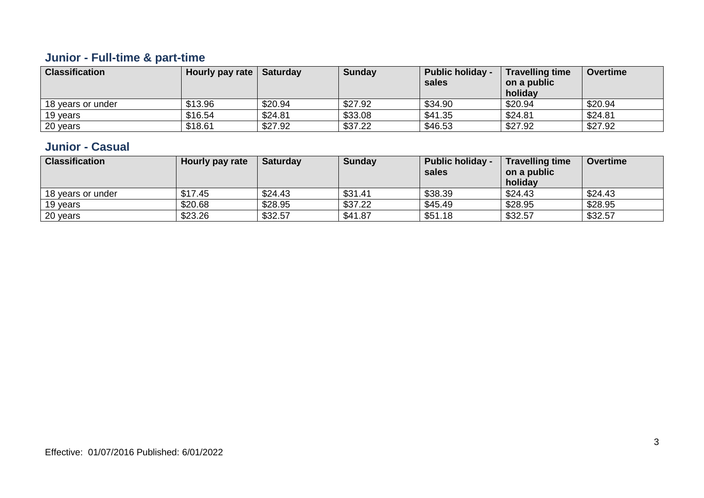## **Junior - Full-time & part-time**

| <b>Classification</b> | <b>Hourly pay rate   Saturday</b> |         | <b>Sunday</b> | <b>Public holiday -</b><br>sales | <b>Travelling time</b><br>on a public<br>holiday | Overtime |
|-----------------------|-----------------------------------|---------|---------------|----------------------------------|--------------------------------------------------|----------|
| 18 years or under     | \$13.96                           | \$20.94 | \$27.92       | \$34.90                          | \$20.94                                          | \$20.94  |
| 19 years              | \$16.54                           | \$24.81 | \$33.08       | \$41.35                          | \$24.81                                          | \$24.81  |
| 20 years              | \$18.61                           | \$27.92 | \$37.22       | \$46.53                          | \$27.92                                          | \$27.92  |

#### **Junior - Casual**

| <b>Classification</b> | Hourly pay rate | <b>Saturday</b> | <b>Sunday</b> | <b>Public holiday -</b><br>sales | <b>Travelling time</b><br>on a public<br>holiday | <b>Overtime</b> |
|-----------------------|-----------------|-----------------|---------------|----------------------------------|--------------------------------------------------|-----------------|
| 18 years or under     | \$17.45         | \$24.43         | \$31.41       | \$38.39                          | \$24.43                                          | \$24.43         |
| 19 years              | \$20.68         | \$28.95         | \$37.22       | \$45.49                          | \$28.95                                          | \$28.95         |
| 20 years              | \$23.26         | \$32.57         | \$41.87       | \$51.18                          | \$32.57                                          | \$32.57         |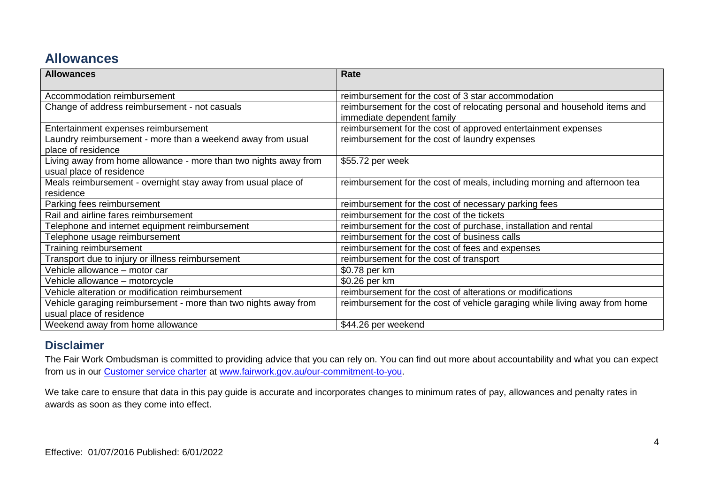## **Allowances**

| <b>Allowances</b>                                                                            | Rate                                                                                                    |
|----------------------------------------------------------------------------------------------|---------------------------------------------------------------------------------------------------------|
| Accommodation reimbursement                                                                  | reimbursement for the cost of 3 star accommodation                                                      |
| Change of address reimbursement - not casuals                                                | reimbursement for the cost of relocating personal and household items and<br>immediate dependent family |
| Entertainment expenses reimbursement                                                         | reimbursement for the cost of approved entertainment expenses                                           |
| Laundry reimbursement - more than a weekend away from usual<br>place of residence            | reimbursement for the cost of laundry expenses                                                          |
| Living away from home allowance - more than two nights away from<br>usual place of residence | \$55.72 per week                                                                                        |
| Meals reimbursement - overnight stay away from usual place of<br>residence                   | reimbursement for the cost of meals, including morning and afternoon tea                                |
| Parking fees reimbursement                                                                   | reimbursement for the cost of necessary parking fees                                                    |
| Rail and airline fares reimbursement                                                         | reimbursement for the cost of the tickets                                                               |
| Telephone and internet equipment reimbursement                                               | reimbursement for the cost of purchase, installation and rental                                         |
| Telephone usage reimbursement                                                                | reimbursement for the cost of business calls                                                            |
| Training reimbursement                                                                       | reimbursement for the cost of fees and expenses                                                         |
| Transport due to injury or illness reimbursement                                             | reimbursement for the cost of transport                                                                 |
| Vehicle allowance - motor car                                                                | \$0.78 per km                                                                                           |
| Vehicle allowance - motorcycle                                                               | \$0.26 per km                                                                                           |
| Vehicle alteration or modification reimbursement                                             | reimbursement for the cost of alterations or modifications                                              |
| Vehicle garaging reimbursement - more than two nights away from<br>usual place of residence  | reimbursement for the cost of vehicle garaging while living away from home                              |
| Weekend away from home allowance                                                             | \$44.26 per weekend                                                                                     |

#### **Disclaimer**

The Fair Work Ombudsman is committed to providing advice that you can rely on. You can find out more about accountability and what you can expect from us in our [Customer service charter](https://www.fairwork.gov.au/about-us/our-role-and-purpose/our-priorities/our-commitment-to-you#customer-service-charter) at [www.fairwork.gov.au/our-commitment-to-you.](http://www.fairwork.gov.au/our-commitment-to-you)

We take care to ensure that data in this pay guide is accurate and incorporates changes to minimum rates of pay, allowances and penalty rates in awards as soon as they come into effect.